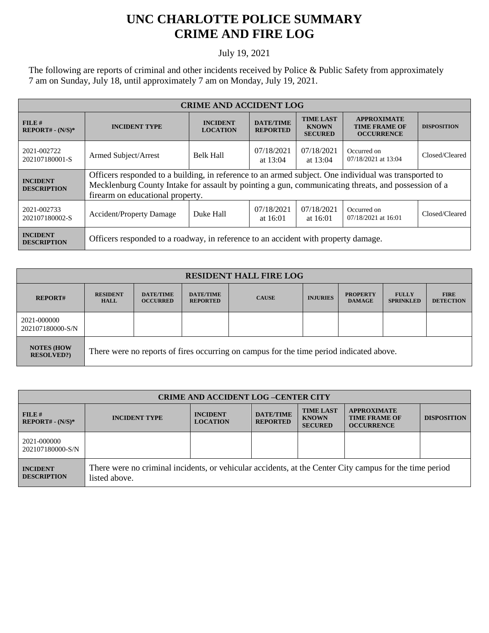## **UNC CHARLOTTE POLICE SUMMARY CRIME AND FIRE LOG**

## July 19, 2021

The following are reports of criminal and other incidents received by Police & Public Safety from approximately 7 am on Sunday, July 18, until approximately 7 am on Monday, July 19, 2021.

| <b>CRIME AND ACCIDENT LOG</b>         |                                                                                                                                                                                                                                                  |                                                            |                                     |                                                    |                                                                 |                    |  |
|---------------------------------------|--------------------------------------------------------------------------------------------------------------------------------------------------------------------------------------------------------------------------------------------------|------------------------------------------------------------|-------------------------------------|----------------------------------------------------|-----------------------------------------------------------------|--------------------|--|
| $FILE$ #<br>$REPORT# - (N/S)*$        | <b>INCIDENT TYPE</b>                                                                                                                                                                                                                             | <b>INCIDENT</b><br><b>LOCATION</b>                         | <b>DATE/TIME</b><br><b>REPORTED</b> | <b>TIME LAST</b><br><b>KNOWN</b><br><b>SECURED</b> | <b>APPROXIMATE</b><br><b>TIME FRAME OF</b><br><b>OCCURRENCE</b> | <b>DISPOSITION</b> |  |
| 2021-002722<br>202107180001-S         | Armed Subject/Arrest                                                                                                                                                                                                                             | 07/18/2021<br><b>Belk Hall</b><br>at $13:04$<br>at $13:04$ |                                     | 07/18/2021                                         | Occurred on<br>$07/18/2021$ at 13:04                            | Closed/Cleared     |  |
| <b>INCIDENT</b><br><b>DESCRIPTION</b> | Officers responded to a building, in reference to an armed subject. One individual was transported to<br>Mecklenburg County Intake for assault by pointing a gun, communicating threats, and possession of a<br>firearm on educational property. |                                                            |                                     |                                                    |                                                                 |                    |  |
| 2021-002733<br>202107180002-S         | <b>Accident/Property Damage</b>                                                                                                                                                                                                                  | Duke Hall                                                  | 07/18/2021<br>at $16:01$            | 07/18/2021<br>at $16:01$                           | Occurred on<br>07/18/2021 at 16:01                              | Closed/Cleared     |  |
| <b>INCIDENT</b><br><b>DESCRIPTION</b> | Officers responded to a roadway, in reference to an accident with property damage.                                                                                                                                                               |                                                            |                                     |                                                    |                                                                 |                    |  |

| <b>RESIDENT HALL FIRE LOG</b>         |                                                                                         |                                     |                                     |              |                 |                                  |                                  |                                 |
|---------------------------------------|-----------------------------------------------------------------------------------------|-------------------------------------|-------------------------------------|--------------|-----------------|----------------------------------|----------------------------------|---------------------------------|
| <b>REPORT#</b>                        | <b>RESIDENT</b><br><b>HALL</b>                                                          | <b>DATE/TIME</b><br><b>OCCURRED</b> | <b>DATE/TIME</b><br><b>REPORTED</b> | <b>CAUSE</b> | <b>INJURIES</b> | <b>PROPERTY</b><br><b>DAMAGE</b> | <b>FULLY</b><br><b>SPRINKLED</b> | <b>FIRE</b><br><b>DETECTION</b> |
| 2021-000000<br>202107180000-S/N       |                                                                                         |                                     |                                     |              |                 |                                  |                                  |                                 |
| <b>NOTES (HOW</b><br><b>RESOLVED?</b> | There were no reports of fires occurring on campus for the time period indicated above. |                                     |                                     |              |                 |                                  |                                  |                                 |

| <b>CRIME AND ACCIDENT LOG-CENTER CITY</b> |                                                                                                                          |                                    |                                     |                                                    |                                                                 |                    |
|-------------------------------------------|--------------------------------------------------------------------------------------------------------------------------|------------------------------------|-------------------------------------|----------------------------------------------------|-----------------------------------------------------------------|--------------------|
| FILE#<br>$REPORT# - (N/S)*$               | <b>INCIDENT TYPE</b>                                                                                                     | <b>INCIDENT</b><br><b>LOCATION</b> | <b>DATE/TIME</b><br><b>REPORTED</b> | <b>TIME LAST</b><br><b>KNOWN</b><br><b>SECURED</b> | <b>APPROXIMATE</b><br><b>TIME FRAME OF</b><br><b>OCCURRENCE</b> | <b>DISPOSITION</b> |
| 2021-000000<br>202107180000-S/N           |                                                                                                                          |                                    |                                     |                                                    |                                                                 |                    |
| <b>INCIDENT</b><br><b>DESCRIPTION</b>     | There were no criminal incidents, or vehicular accidents, at the Center City campus for the time period<br>listed above. |                                    |                                     |                                                    |                                                                 |                    |